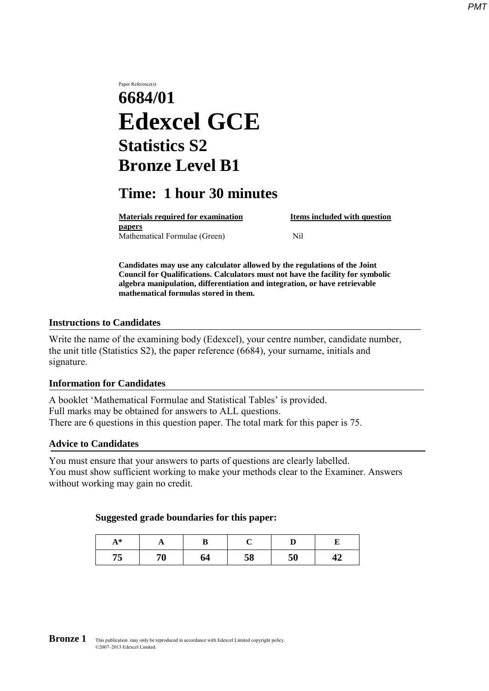# Paper Reference(s) **6684/01 Edexcel GCE Statistics S2 Bronze Level B1**

# **Time: 1 hour 30 minutes**

**Materials required for examination Items included with question papers** Mathematical Formulae (Green)Nil

**Candidates may use any calculator allowed by the regulations of the Joint Council for Qualifications. Calculators must not have the facility for symbolic algebra manipulation, differentiation and integration, or have retrievable mathematical formulas stored in them.**

### **Instructions to Candidates**

Write the name of the examining body (Edexcel), your centre number, candidate number, the unit title (Statistics S2), the paper reference (6684), your surname, initials and signature.

## **Information for Candidates**

A booklet 'Mathematical Formulae and Statistical Tables' is provided. Full marks may be obtained for answers to ALL questions. There are 6 questions in this question paper. The total mark for this paper is 75.

#### **Advice to Candidates**

You must ensure that your answers to parts of questions are clearly labelled. You must show sufficient working to make your methods clear to the Examiner. Answers without working may gain no credit.

#### **Suggested grade boundaries for this paper:**

| $A^*$<br>$\mathbf{A}$ |    | D  |    |    |    |  |
|-----------------------|----|----|----|----|----|--|
| 75<br>כ ו             | 70 | 64 | 58 | 50 | 44 |  |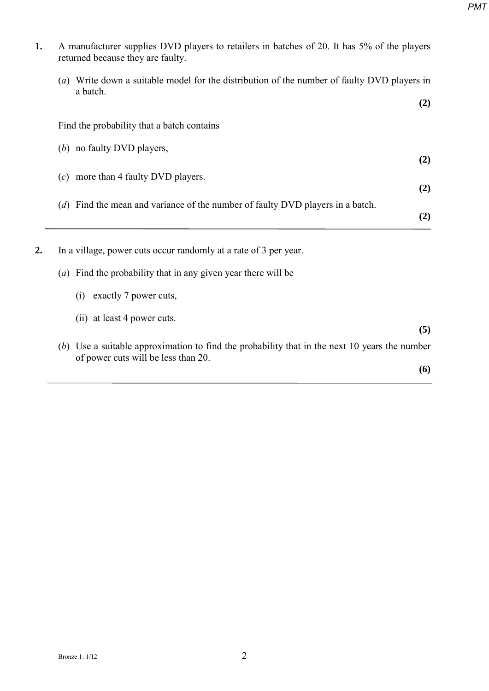| 1. | A manufacturer supplies DVD players to retailers in batches of 20. It has 5% of the players<br>returned because they are faulty. |     |
|----|----------------------------------------------------------------------------------------------------------------------------------|-----|
|    | (a) Write down a suitable model for the distribution of the number of faulty DVD players in                                      |     |
|    | a batch.                                                                                                                         | (2) |
|    | Find the probability that a batch contains                                                                                       |     |
|    | (b) no faulty DVD players,                                                                                                       | (2) |
|    | $(c)$ more than 4 faulty DVD players.                                                                                            | (2) |
|    | ( $d$ ) Find the mean and variance of the number of faulty DVD players in a batch.                                               | (2) |
|    | In a village, power cuts occur randomly at a rate of 3 per year.                                                                 |     |
|    | (a) Find the probability that in any given year there will be                                                                    |     |
|    | (i) exactly 7 power cuts,                                                                                                        |     |
|    | (ii) at least 4 power cuts.                                                                                                      | (5) |
|    | (b) Use a suitable approximation to find the probability that in the next 10 years the number                                    |     |
|    | of power cuts will be less than 20.                                                                                              | (6) |

*PMT*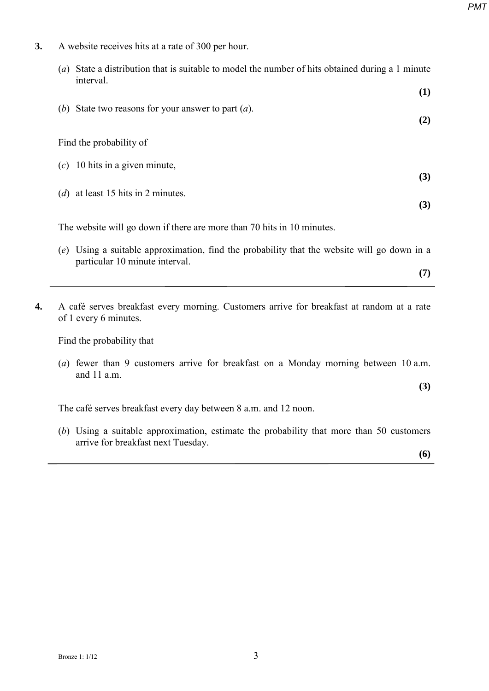**3.** A website receives hits at a rate of 300 per hour.

| State a distribution that is suitable to model the number of hits obtained during a 1 minute<br>$\left( a\right)$<br>interval. |     |
|--------------------------------------------------------------------------------------------------------------------------------|-----|
|                                                                                                                                | (1) |
| (b) State two reasons for your answer to part $(a)$ .                                                                          | (2) |
| Find the probability of                                                                                                        |     |
| 10 hits in a given minute,<br>(c)                                                                                              | (3) |
| ( <i>d</i> ) at least 15 hits in 2 minutes.                                                                                    |     |
|                                                                                                                                | (3) |
| The website will go down if there are more than 70 hits in 10 minutes.                                                         |     |

- (*e*) Using a suitable approximation, find the probability that the website will go down in a particular 10 minute interval.
- **4.** A café serves breakfast every morning. Customers arrive for breakfast at random at a rate of 1 every 6 minutes.

Find the probability that

(*a*) fewer than 9 customers arrive for breakfast on a Monday morning between 10 a.m. and 11 a.m.

**(3)**

**(7)**

The café serves breakfast every day between 8 a.m. and 12 noon.

(*b*) Using a suitable approximation, estimate the probability that more than 50 customers arrive for breakfast next Tuesday.

**(6)**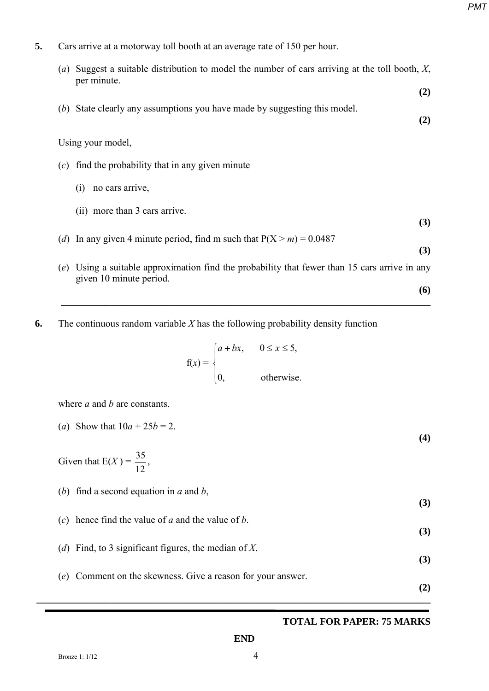**(6)**

**5.** Cars arrive at a motorway toll booth at an average rate of 150 per hour.

| $\left( a\right)$ | Suggest a suitable distribution to model the number of cars arriving at the toll booth, $X$ ,<br>per minute.         |     |
|-------------------|----------------------------------------------------------------------------------------------------------------------|-----|
|                   |                                                                                                                      | (2) |
|                   | (b) State clearly any assumptions you have made by suggesting this model.                                            | (2) |
|                   | Using your model,                                                                                                    |     |
| (c)               | find the probability that in any given minute                                                                        |     |
|                   | no cars arrive,<br>(1)                                                                                               |     |
|                   | (ii) more than 3 cars arrive.                                                                                        |     |
|                   | (d) In any given 4 minute period, find m such that $P(X > m) = 0.0487$                                               | (3) |
|                   |                                                                                                                      | (3) |
| (e)               | Using a suitable approximation find the probability that fewer than 15 cars arrive in any<br>given 10 minute period. |     |

**6.** The continuous random variable *X* has the following probability density function

$$
f(x) = \begin{cases} a + bx, & 0 \le x \le 5, \\ 0, & \text{otherwise.} \end{cases}
$$

**\_\_\_\_\_\_\_\_\_\_\_\_\_\_\_\_\_\_\_\_\_\_\_\_\_\_\_\_\_\_\_\_\_\_\_\_\_\_\_\_\_\_\_\_\_\_\_\_\_\_\_\_\_\_\_\_\_\_\_\_\_\_\_\_\_\_\_\_\_\_\_\_\_\_\_** 

where *a* and *b* are constants.

(a) Show that 
$$
10a + 25b = 2
$$
.  
(4)  
Given that  $E(X) = \frac{35}{12}$ ,

(*b*) find a second equation in *a* and *b*, **(3)** (*c*) hence find the value of *a* and the value of *b*. **(3)** (*d*) Find, to 3 significant figures, the median of *X*. **(3)** (*e*) Comment on the skewness. Give a reason for your answer. **(2) \_\_\_\_\_\_\_\_\_\_\_\_\_\_\_\_\_\_\_\_\_\_\_\_\_\_\_\_\_\_\_\_\_\_\_\_\_\_\_\_\_\_\_\_\_\_\_\_\_\_\_\_\_\_\_\_\_\_\_\_\_\_\_\_\_\_\_\_\_\_\_\_\_\_\_\_\_\_\_\_** 

# **TOTAL FOR PAPER: 75 MARKS**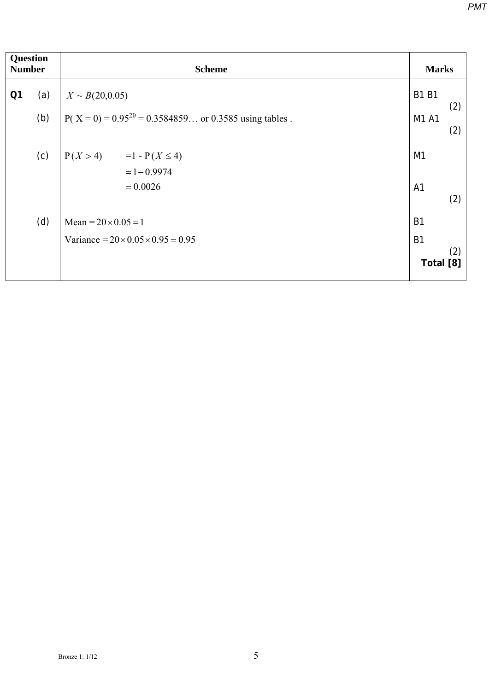| <b>Question</b><br><b>Number</b> |     | <b>Scheme</b>                                                       |                        |            |  |
|----------------------------------|-----|---------------------------------------------------------------------|------------------------|------------|--|
| Q <sub>1</sub>                   | (a) | $X \sim B(20,0.05)$                                                 | <b>B1 B1</b>           |            |  |
|                                  | (b) | $P(X = 0) = 0.95^{20} = 0.3584859$ or 0.3585 using tables.<br>M1 A1 |                        | (2)<br>(2) |  |
|                                  | (c) | $P(X > 4) = 1 - P(X \le 4)$<br>$= 1 - 0.9974$                       | M1                     |            |  |
|                                  |     | $= 0.0026$                                                          | A <sub>1</sub>         | (2)        |  |
|                                  | (d) | Mean = $20 \times 0.05 = 1$                                         | <b>B1</b>              |            |  |
|                                  |     | Variance = $20 \times 0.05 \times 0.95 = 0.95$                      | <b>B1</b><br>Total [8] | (2)        |  |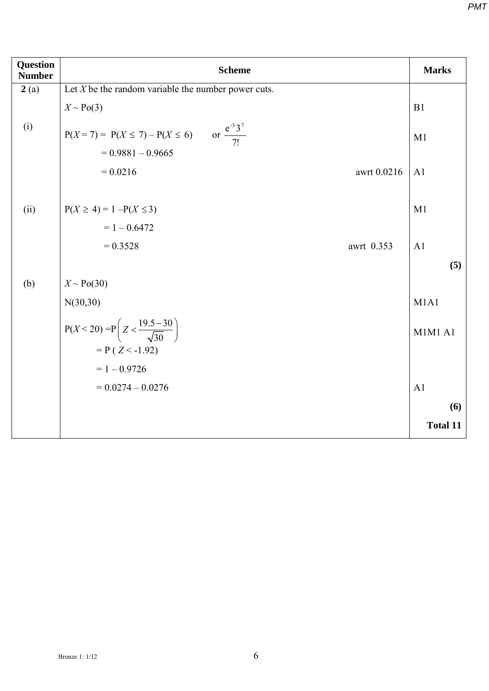| <b>Question</b><br><b>Number</b> | <b>Scheme</b>                                                                   | <b>Marks</b>    |
|----------------------------------|---------------------------------------------------------------------------------|-----------------|
| 2(a)                             | Let $X$ be the random variable the number power cuts.                           |                 |
|                                  | $X \sim Po(3)$                                                                  | B1              |
| (i)                              | $P(X = 7) = P(X \le 7) - P(X \le 6)$ or $\frac{e^{-3}3^7}{7!}$                  | M1              |
|                                  | $= 0.9881 - 0.9665$                                                             |                 |
|                                  | $= 0.0216$<br>awrt 0.0216                                                       | A1              |
| (ii)                             | $P(X \ge 4) = 1 - P(X \le 3)$                                                   | M1              |
|                                  | $= 1 - 0.6472$                                                                  |                 |
|                                  | $= 0.3528$<br>awrt 0.353                                                        | A1              |
|                                  |                                                                                 | (5)             |
| (b)                              | $X \sim Po(30)$                                                                 |                 |
|                                  | N(30,30)                                                                        | M1A1            |
|                                  | $P(X < 20) = P\left(Z < \frac{19.5 - 30}{\sqrt{30}}\right)$<br>$= P(Z < -1.92)$ | <b>M1M1 A1</b>  |
|                                  | $= 1 - 0.9726$                                                                  |                 |
|                                  | $= 0.0274 - 0.0276$                                                             | A1              |
|                                  |                                                                                 |                 |
|                                  |                                                                                 | (6)             |
|                                  |                                                                                 | <b>Total 11</b> |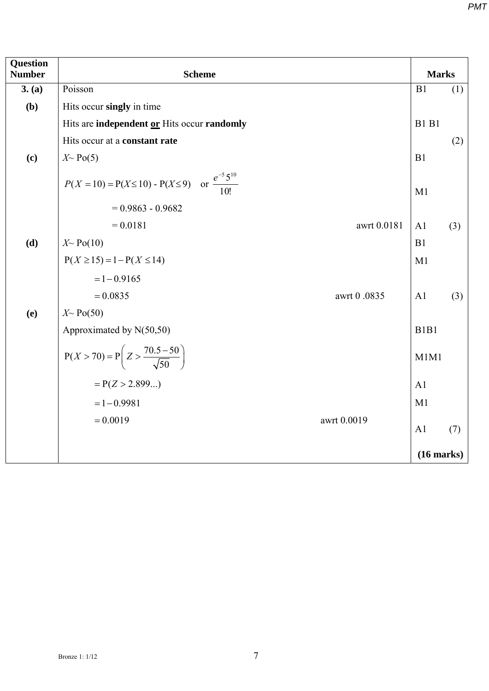| <b>Question</b><br><b>Number</b> | <b>Scheme</b>                                                        |             |                               |     |  |  |
|----------------------------------|----------------------------------------------------------------------|-------------|-------------------------------|-----|--|--|
| 3. (a)                           | Poisson                                                              |             | B1                            | (1) |  |  |
| (b)                              | Hits occur singly in time                                            |             |                               |     |  |  |
|                                  | Hits are independent or Hits occur randomly                          |             | <b>B1 B1</b>                  |     |  |  |
|                                  | Hits occur at a constant rate                                        |             |                               | (2) |  |  |
| (c)                              | $X \sim Po(5)$                                                       |             | B1                            |     |  |  |
|                                  | $P(X = 10) = P(X \le 10) - P(X \le 9)$ or $\frac{e^{-5}5^{10}}{10!}$ |             | M1                            |     |  |  |
|                                  | $= 0.9863 - 0.9682$                                                  |             |                               |     |  |  |
|                                  | $= 0.0181$                                                           | awrt 0.0181 | A1                            | (3) |  |  |
| (d)                              | $X \sim Po(10)$                                                      |             | B1                            |     |  |  |
|                                  | $P(X \ge 15) = 1 - P(X \le 14)$                                      |             | M1                            |     |  |  |
|                                  | $= 1 - 0.9165$                                                       |             |                               |     |  |  |
|                                  | $= 0.0835$                                                           | awrt 0.0835 | A <sub>1</sub>                | (3) |  |  |
| (e)                              | $X \sim Po(50)$                                                      |             |                               |     |  |  |
|                                  | Approximated by N(50,50)                                             |             | B <sub>1</sub> B <sub>1</sub> |     |  |  |
|                                  | $P(X > 70) = P\left(Z > \frac{70.5 - 50}{\sqrt{50}}\right)$          |             | M1M1                          |     |  |  |
|                                  | $= P(Z > 2.899)$                                                     |             | A <sub>1</sub>                |     |  |  |
|                                  | $= 1 - 0.9981$                                                       |             | M1                            |     |  |  |
|                                  | $= 0.0019$                                                           | awrt 0.0019 | A1                            | (7) |  |  |
|                                  |                                                                      |             |                               |     |  |  |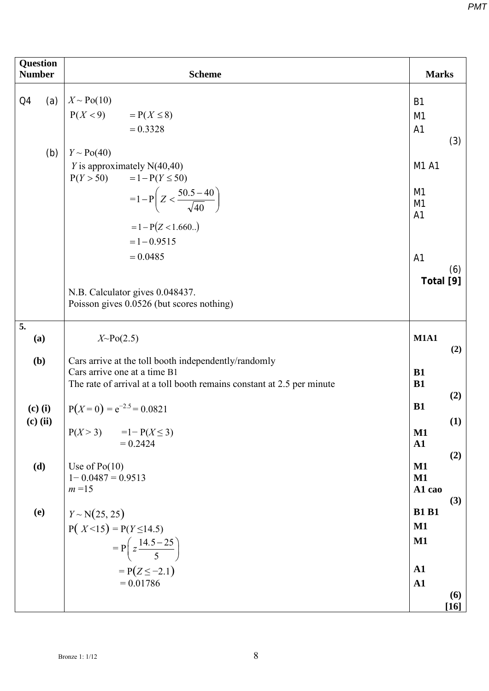| <b>Question</b><br><b>Number</b> | <b>Scheme</b>                                                                                                                                                  |                                                                          |  |  |  |  |
|----------------------------------|----------------------------------------------------------------------------------------------------------------------------------------------------------------|--------------------------------------------------------------------------|--|--|--|--|
| Q4<br>(b)                        | (a) $X \sim Po(10)$<br>$P(X < 9)$ = $P(X \le 8)$<br>$= 0.3328$<br>$Y \sim Po(40)$                                                                              | <b>B1</b><br>M <sub>1</sub><br>A1<br>(3)                                 |  |  |  |  |
|                                  | $Y$ is approximately N(40,40)<br>$P(Y > 50) = 1 - P(Y \le 50)$<br>$=1-P\left(Z<\frac{50.5-40}{\sqrt{40}}\right)$<br>$= 1 - P(Z < 1.660.)$<br>$= 1 - 0.9515$    | M1 A1<br>M <sub>1</sub><br>M1<br>A <sub>1</sub>                          |  |  |  |  |
|                                  | $= 0.0485$<br>N.B. Calculator gives 0.048437.<br>Poisson gives 0.0526 (but scores nothing)                                                                     | A <sub>1</sub><br>(6)<br>Total [9]                                       |  |  |  |  |
| $\overline{5}$ .<br>(a)          | $X\!\!\sim\!\!Po(2.5)$                                                                                                                                         | <b>M1A1</b><br>(2)                                                       |  |  |  |  |
| (b)                              | Cars arrive at the toll booth independently/randomly<br>Cars arrive one at a time B1<br>The rate of arrival at a toll booth remains constant at 2.5 per minute | <b>B1</b><br><b>B1</b><br>(2)                                            |  |  |  |  |
| $(c)$ (i)<br>$(c)$ (ii)          | $P(X=0) = e^{-2.5} = 0.0821$<br>$P(X > 3) = 1 - P(X \le 3)$<br>$= 0.2424$                                                                                      | B1<br>(1)<br>$\mathbf{M1}$<br>${\bf A1}$                                 |  |  |  |  |
| (d)                              | Use of $Po(10)$<br>$1 - 0.0487 = 0.9513$<br>$m=15$                                                                                                             | (2)<br>$\mathbf{M1}$<br>$\mathbf{M1}$<br>A1 cao<br>(3)                   |  |  |  |  |
| <b>(e)</b>                       | $Y \sim N(25, 25)$<br>$P(X<15) = P(Y \le 14.5)$<br>$= P\left(z\frac{14.5 - 25}{5}\right)$<br>$= P(Z \le -2.1)$<br>$= 0.01786$                                  | <b>B1 B1</b><br>$\mathbf{M1}$<br>$M1$<br>${\bf A1}$<br>${\bf A1}$<br>(6) |  |  |  |  |
|                                  |                                                                                                                                                                | $[16]$                                                                   |  |  |  |  |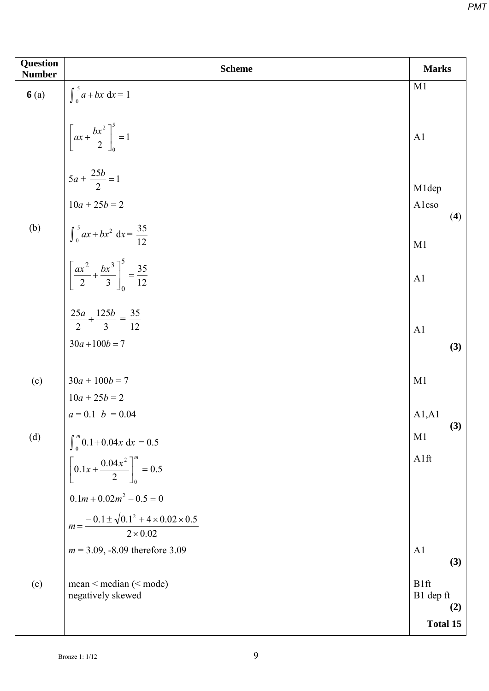| Question<br><b>Number</b> | <b>Scheme</b>                                                                                                   | <b>Marks</b>             |  |
|---------------------------|-----------------------------------------------------------------------------------------------------------------|--------------------------|--|
| 6(a)                      | $\int_0^5 a + bx \, dx = 1$                                                                                     | M1                       |  |
|                           | $\left[ax + \frac{bx^2}{2}\right]_0^5 = 1$                                                                      | A <sub>1</sub>           |  |
|                           | $5a + \frac{25b}{2} = 1$<br>$10a + 25b = 2$                                                                     | M1dep<br>Alcso           |  |
| (b)                       | $\int_0^5 ax + bx^2 dx = \frac{35}{12}$<br>$\left[ \frac{ax^2}{2} + \frac{bx^3}{3} \right]_0^5 = \frac{35}{12}$ | (4)<br>M1                |  |
|                           |                                                                                                                 | A1                       |  |
|                           | $\frac{25a}{2} + \frac{125b}{3} = \frac{35}{12}$<br>$30a + 100b = 7$                                            | A <sub>1</sub><br>(3)    |  |
| (c)                       | $30a + 100b = 7$                                                                                                | M1                       |  |
|                           | $10a + 25b = 2$                                                                                                 |                          |  |
| (d)                       | $a = 0.1$ $b = 0.04$                                                                                            | A1, A1<br>(3)<br>M1      |  |
|                           | $\int_0^m 0.1 + 0.04x \, dx = 0.5$ $\left[ 0.1x + \frac{0.04x^2}{2} \right]_0^m = 0.5$                          | A1ft                     |  |
|                           | $0.1m + 0.02m^2 - 0.5 = 0$                                                                                      |                          |  |
|                           | $m = \frac{-0.1 \pm \sqrt{0.1^2 + 4 \times 0.02 \times 0.5}}{2 \times 0.02}$                                    |                          |  |
|                           | $m = 3.09, -8.09$ therefore 3.09                                                                                | A <sub>1</sub><br>(3)    |  |
| (e)                       | mean < median ( <mode)<br>negatively skewed</mode)<br>                                                          | B1ft<br>B1 dep ft<br>(2) |  |
|                           |                                                                                                                 | Total 15                 |  |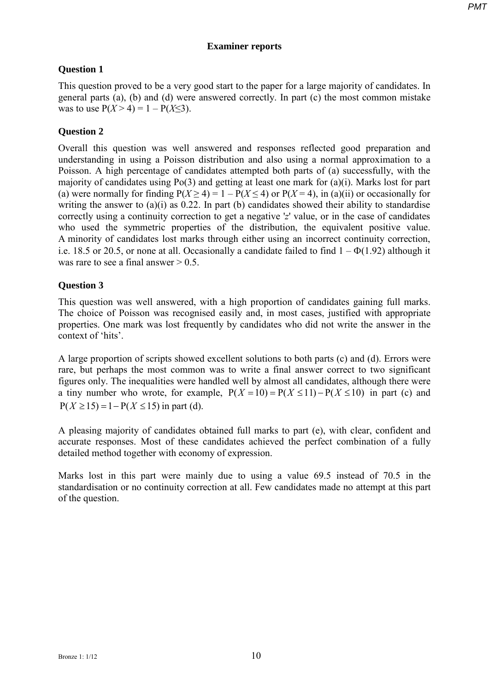# **Examiner reports**

# **Question 1**

This question proved to be a very good start to the paper for a large majority of candidates. In general parts (a), (b) and (d) were answered correctly. In part (c) the most common mistake was to use  $P(X > 4) = 1 - P(X \le 3)$ .

# **Question 2**

Overall this question was well answered and responses reflected good preparation and understanding in using a Poisson distribution and also using a normal approximation to a Poisson. A high percentage of candidates attempted both parts of (a) successfully, with the majority of candidates using Po(3) and getting at least one mark for (a)(i). Marks lost for part (a) were normally for finding  $P(X \ge 4) = 1 - P(X \le 4)$  or  $P(X = 4)$ , in (a)(ii) or occasionally for writing the answer to  $(a)(i)$  as 0.22. In part (b) candidates showed their ability to standardise correctly using a continuity correction to get a negative '*z*' value, or in the case of candidates who used the symmetric properties of the distribution, the equivalent positive value. A minority of candidates lost marks through either using an incorrect continuity correction, i.e. 18.5 or 20.5, or none at all. Occasionally a candidate failed to find  $1 - \Phi(1.92)$  although it was rare to see a final answer  $> 0.5$ .

# **Question 3**

This question was well answered, with a high proportion of candidates gaining full marks. The choice of Poisson was recognised easily and, in most cases, justified with appropriate properties. One mark was lost frequently by candidates who did not write the answer in the context of 'hits'.

A large proportion of scripts showed excellent solutions to both parts (c) and (d). Errors were rare, but perhaps the most common was to write a final answer correct to two significant figures only. The inequalities were handled well by almost all candidates, although there were a tiny number who wrote, for example,  $P(X = 10) = P(X \le 11) - P(X \le 10)$  in part (c) and  $P(X \ge 15) = 1 - P(X \le 15)$  in part (d).

A pleasing majority of candidates obtained full marks to part (e), with clear, confident and accurate responses. Most of these candidates achieved the perfect combination of a fully detailed method together with economy of expression.

Marks lost in this part were mainly due to using a value 69.5 instead of 70.5 in the standardisation or no continuity correction at all. Few candidates made no attempt at this part of the question.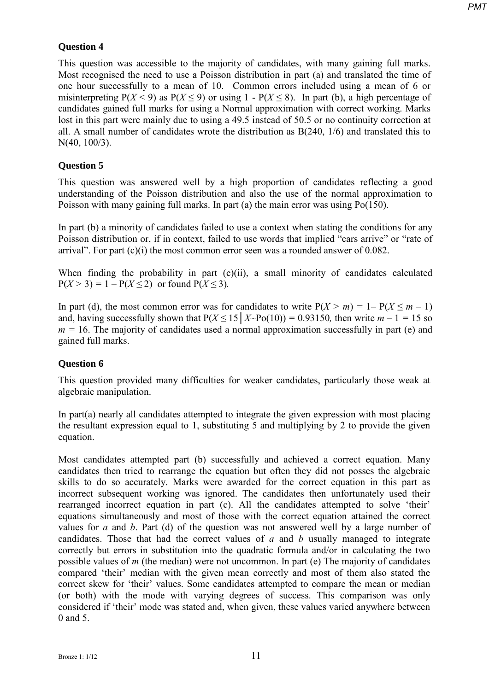# **Question 4**

This question was accessible to the majority of candidates, with many gaining full marks. Most recognised the need to use a Poisson distribution in part (a) and translated the time of one hour successfully to a mean of 10. Common errors included using a mean of 6 or misinterpreting  $P(X < 9)$  as  $P(X \le 9)$  or using 1 -  $P(X \le 8)$ . In part (b), a high percentage of candidates gained full marks for using a Normal approximation with correct working. Marks lost in this part were mainly due to using a 49.5 instead of 50.5 or no continuity correction at all. A small number of candidates wrote the distribution as B(240, 1/6) and translated this to N(40, 100/3).

# **Question 5**

This question was answered well by a high proportion of candidates reflecting a good understanding of the Poisson distribution and also the use of the normal approximation to Poisson with many gaining full marks. In part (a) the main error was using Po(150).

In part (b) a minority of candidates failed to use a context when stating the conditions for any Poisson distribution or, if in context, failed to use words that implied "cars arrive" or "rate of arrival". For part  $(c)(i)$  the most common error seen was a rounded answer of 0.082.

When finding the probability in part (c)(ii), a small minority of candidates calculated  $P(X > 3) = 1 - P(X \le 2)$  or found  $P(X \le 3)$ .

In part (d), the most common error was for candidates to write  $P(X > m) = 1 - P(X \le m - 1)$ and, having successfully shown that  $P(X \le 15 | X \sim Po(10)) = 0.93150$ , then write  $m - 1 = 15$  so  $m = 16$ . The majority of candidates used a normal approximation successfully in part (e) and gained full marks.

# **Question 6**

This question provided many difficulties for weaker candidates, particularly those weak at algebraic manipulation.

In part(a) nearly all candidates attempted to integrate the given expression with most placing the resultant expression equal to 1, substituting 5 and multiplying by 2 to provide the given equation.

Most candidates attempted part (b) successfully and achieved a correct equation. Many candidates then tried to rearrange the equation but often they did not posses the algebraic skills to do so accurately. Marks were awarded for the correct equation in this part as incorrect subsequent working was ignored. The candidates then unfortunately used their rearranged incorrect equation in part (c). All the candidates attempted to solve 'their' equations simultaneously and most of those with the correct equation attained the correct values for *a* and *b*. Part (d) of the question was not answered well by a large number of candidates. Those that had the correct values of *a* and *b* usually managed to integrate correctly but errors in substitution into the quadratic formula and/or in calculating the two possible values of *m* (the median) were not uncommon. In part (e) The majority of candidates compared 'their' median with the given mean correctly and most of them also stated the correct skew for 'their' values. Some candidates attempted to compare the mean or median (or both) with the mode with varying degrees of success. This comparison was only considered if 'their' mode was stated and, when given, these values varied anywhere between 0 and 5.